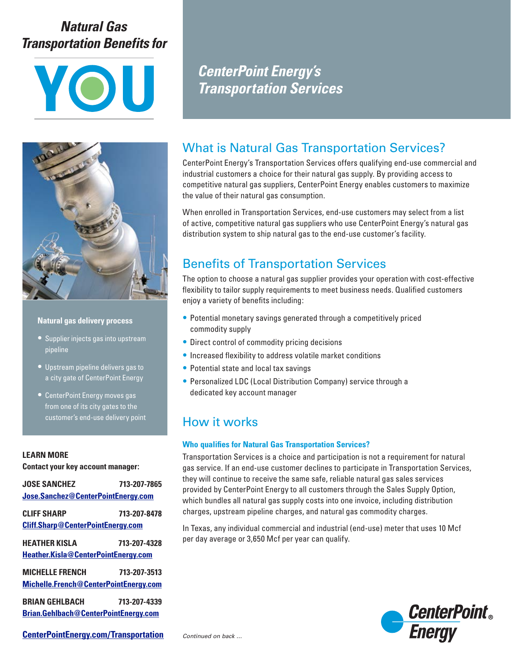# *Natural Gas Transportation Benefits for*





### **Natural gas delivery process**

- Supplier injects gas into upstream pipeline
- Upstream pipeline delivers gas to a city gate of CenterPoint Energy
- CenterPoint Energy moves gas from one of its city gates to the customer's end-use delivery point

### **LEARN MORE**

**Contact your key account manager:**

| <b>JOSE SANCHEZ</b>                      | 713-207-7865 |  |
|------------------------------------------|--------------|--|
| Jose.Sanchez@CenterPointEnergy.com       |              |  |
|                                          |              |  |
| CLIFF SHARP                              | 713-207-8478 |  |
| <b>Cliff.Sharp@CenterPointEnergy.com</b> |              |  |
|                                          |              |  |
| <b>HFATHFR KISLA</b>                     | 713-207-4328 |  |
| Heather.Kisla@CenterPointEnergy.com      |              |  |
|                                          |              |  |
| <b>MICHFLLF FRFNCH</b>                   | 713-207-3513 |  |
| Michelle.French@CenterPointEnergy.com    |              |  |
|                                          |              |  |
| <b>BRIAN GFHLBACH</b>                    | 713-207-4339 |  |
| Brian.Gehlbach@CenterPointEnergy.com     |              |  |

*CenterPoint Energy's Transportation Services*

## What is Natural Gas Transportation Services?

CenterPoint Energy's Transportation Services offers qualifying end-use commercial and industrial customers a choice for their natural gas supply. By providing access to competitive natural gas suppliers, CenterPoint Energy enables customers to maximize the value of their natural gas consumption.

When enrolled in Transportation Services, end-use customers may select from a list of active, competitive natural gas suppliers who use CenterPoint Energy's natural gas distribution system to ship natural gas to the end-use customer's facility.

## Benefits of Transportation Services

The option to choose a natural gas supplier provides your operation with cost-effective flexibility to tailor supply requirements to meet business needs. Qualified customers enjoy a variety of benefits including:

- Potential monetary savings generated through a competitively priced commodity supply
- Direct control of commodity pricing decisions
- Increased flexibility to address volatile market conditions
- Potential state and local tax savings
- Personalized LDC (Local Distribution Company) service through a dedicated key account manager

## How it works

### **Who qualifies for Natural Gas Transportation Services?**

Transportation Services is a choice and participation is not a requirement for natural gas service. If an end-use customer declines to participate in Transportation Services, they will continue to receive the same safe, reliable natural gas sales services provided by CenterPoint Energy to all customers through the Sales Supply Option, which bundles all natural gas supply costs into one invoice, including distribution charges, upstream pipeline charges, and natural gas commodity charges.

In Texas, any individual commercial and industrial (end-use) meter that uses 10 Mcf per day average or 3,650 Mcf per year can qualify.



**[CenterPointEnergy.com/Transportation](https://www.centerpointenergy.com/en-us/business/services/natural-gas/natural-gas-transportation?sa=ho)**